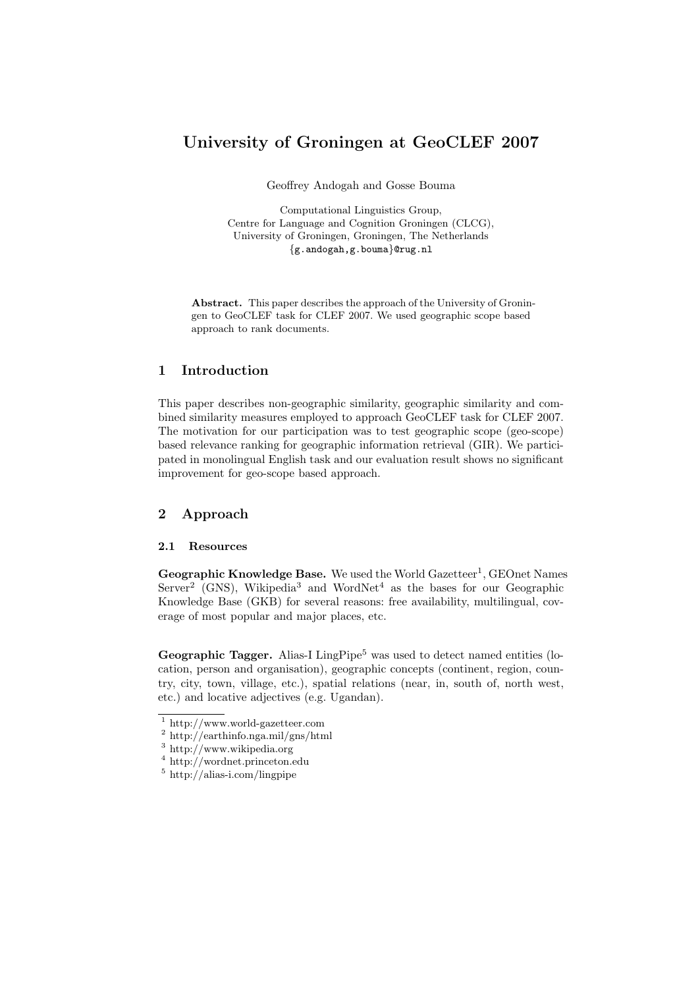# University of Groningen at GeoCLEF 2007

Geoffrey Andogah and Gosse Bouma

Computational Linguistics Group, Centre for Language and Cognition Groningen (CLCG), University of Groningen, Groningen, The Netherlands {g.andogah,g.bouma}@rug.nl

Abstract. This paper describes the approach of the University of Groningen to GeoCLEF task for CLEF 2007. We used geographic scope based approach to rank documents.

# 1 Introduction

This paper describes non-geographic similarity, geographic similarity and combined similarity measures employed to approach GeoCLEF task for CLEF 2007. The motivation for our participation was to test geographic scope (geo-scope) based relevance ranking for geographic information retrieval (GIR). We participated in monolingual English task and our evaluation result shows no significant improvement for geo-scope based approach.

# 2 Approach

## 2.1 Resources

Geographic Knowledge Base. We used the World Gazetteer<sup>1</sup>, GEOnet Names  $Server<sup>2</sup>$  (GNS), Wikipedia<sup>3</sup> and WordNet<sup>4</sup> as the bases for our Geographic Knowledge Base (GKB) for several reasons: free availability, multilingual, coverage of most popular and major places, etc.

**Geographic Tagger.** Alias-I LingPipe<sup>5</sup> was used to detect named entities (location, person and organisation), geographic concepts (continent, region, country, city, town, village, etc.), spatial relations (near, in, south of, north west, etc.) and locative adjectives (e.g. Ugandan).

<sup>1</sup> http://www.world-gazetteer.com

<sup>2</sup> http://earthinfo.nga.mil/gns/html

<sup>3</sup> http://www.wikipedia.org

<sup>4</sup> http://wordnet.princeton.edu

<sup>5</sup> http://alias-i.com/lingpipe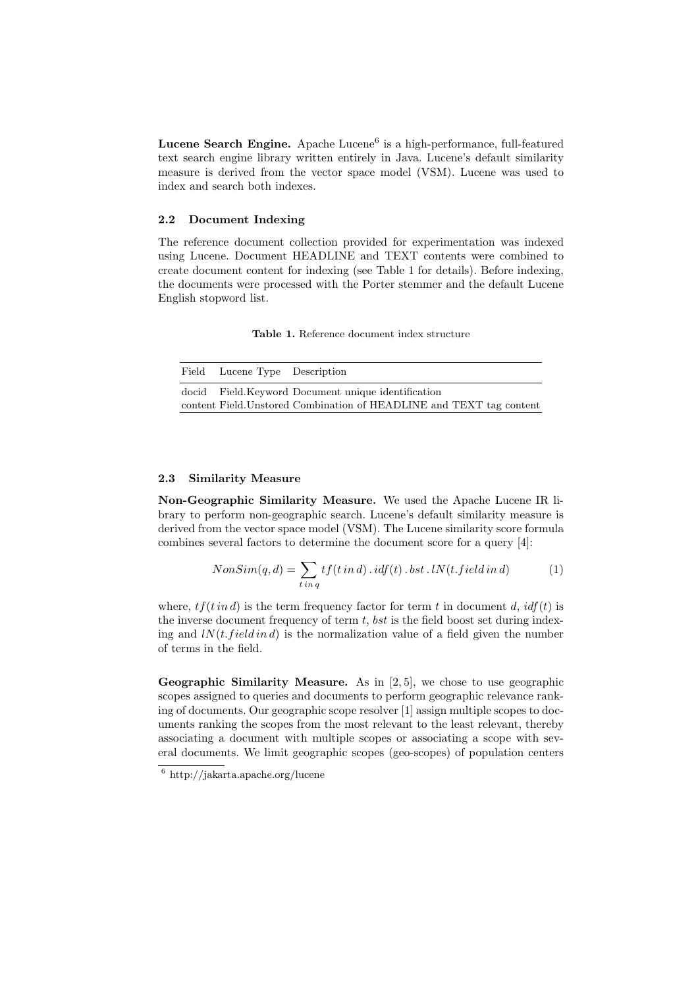Lucene Search Engine. Apache Lucene<sup>6</sup> is a high-performance, full-featured text search engine library written entirely in Java. Lucene's default similarity measure is derived from the vector space model (VSM). Lucene was used to index and search both indexes.

#### 2.2 Document Indexing

The reference document collection provided for experimentation was indexed using Lucene. Document HEADLINE and TEXT contents were combined to create document content for indexing (see Table 1 for details). Before indexing, the documents were processed with the Porter stemmer and the default Lucene English stopword list.

Table 1. Reference document index structure

| Field Lucene Type Description |                                                                      |
|-------------------------------|----------------------------------------------------------------------|
|                               | docid Field. Keyword Document unique identification                  |
|                               | content Field. Unstored Combination of HEADLINE and TEXT tag content |

#### 2.3 Similarity Measure

Non-Geographic Similarity Measure. We used the Apache Lucene IR library to perform non-geographic search. Lucene's default similarity measure is derived from the vector space model (VSM). The Lucene similarity score formula combines several factors to determine the document score for a query [4]:

$$
NonSim(q, d) = \sum_{t in q} tf(t in d) . idf(t) . bst . IN(t.field in d)
$$
 (1)

where,  $tf(t \text{ in } d)$  is the term frequency factor for term t in document d,  $idf(t)$  is the inverse document frequency of term  $t$ , bst is the field boost set during indexing and  $lN(t, field\ in\ d)$  is the normalization value of a field given the number of terms in the field.

**Geographic Similarity Measure.** As in  $[2,5]$ , we chose to use geographic scopes assigned to queries and documents to perform geographic relevance ranking of documents. Our geographic scope resolver [1] assign multiple scopes to documents ranking the scopes from the most relevant to the least relevant, thereby associating a document with multiple scopes or associating a scope with several documents. We limit geographic scopes (geo-scopes) of population centers

<sup>6</sup> http://jakarta.apache.org/lucene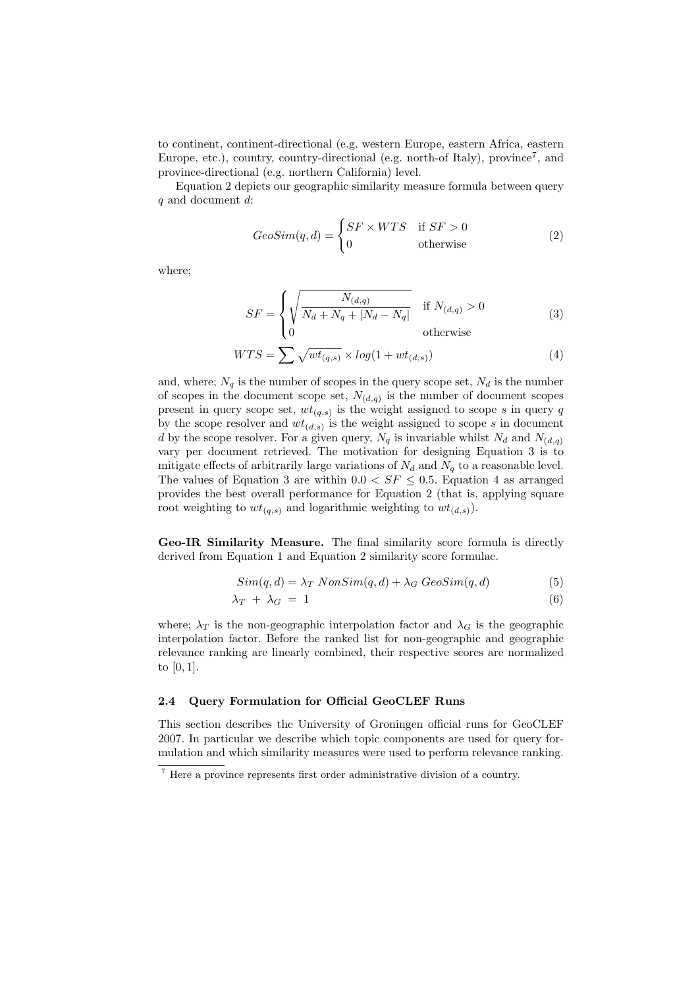to continent, continent-directional (e.g. western Europe, eastern Africa, eastern Europe, etc.), country, country-directional (e.g. north-of Italy), province<sup>7</sup>, and province-directional (e.g. northern California) level.

Equation 2 depicts our geographic similarity measure formula between query q and document d:

$$
GeoSim(q, d) = \begin{cases} SF \times WTS & \text{if } SF > 0\\ 0 & \text{otherwise} \end{cases}
$$
 (2)

where;

$$
SF = \begin{cases} \sqrt{\frac{N_{(d,q)}}{N_d + N_q + |N_d - N_q|}} & \text{if } N_{(d,q)} > 0\\ 0 & \text{otherwise} \end{cases}
$$
(3)

$$
WTS = \sum_{s} \sqrt{wt_{(q,s)}} \times \log(1 + wt_{(d,s)})
$$
\n(4)

and, where;  $N_q$  is the number of scopes in the query scope set,  $N_d$  is the number of scopes in the document scope set,  $N_{(d,q)}$  is the number of document scopes present in query scope set,  $wt_{(q,s)}$  is the weight assigned to scope s in query q by the scope resolver and  $wt_{(d,s)}$  is the weight assigned to scope s in document d by the scope resolver. For a given query,  $N_q$  is invariable whilst  $N_d$  and  $N_{(d,q)}$ vary per document retrieved. The motivation for designing Equation 3 is to mitigate effects of arbitrarily large variations of  $N_d$  and  $N_q$  to a reasonable level. The values of Equation 3 are within  $0.0 < SF \leq 0.5$ . Equation 4 as arranged provides the best overall performance for Equation 2 (that is, applying square root weighting to  $wt_{(q,s)}$  and logarithmic weighting to  $wt_{(d,s)}$ .

Geo-IR Similarity Measure. The final similarity score formula is directly derived from Equation 1 and Equation 2 similarity score formulae.

$$
Sim(q, d) = \lambda_T \; NonSim(q, d) + \lambda_G \; GeoSim(q, d)
$$
\n
$$
(5)
$$

$$
\lambda_T + \lambda_G = 1 \tag{6}
$$

where;  $\lambda_T$  is the non-geographic interpolation factor and  $\lambda_G$  is the geographic interpolation factor. Before the ranked list for non-geographic and geographic relevance ranking are linearly combined, their respective scores are normalized to [0, 1].

## 2.4 Query Formulation for Official GeoCLEF Runs

This section describes the University of Groningen official runs for GeoCLEF 2007. In particular we describe which topic components are used for query formulation and which similarity measures were used to perform relevance ranking.

<sup>7</sup> Here a province represents first order administrative division of a country.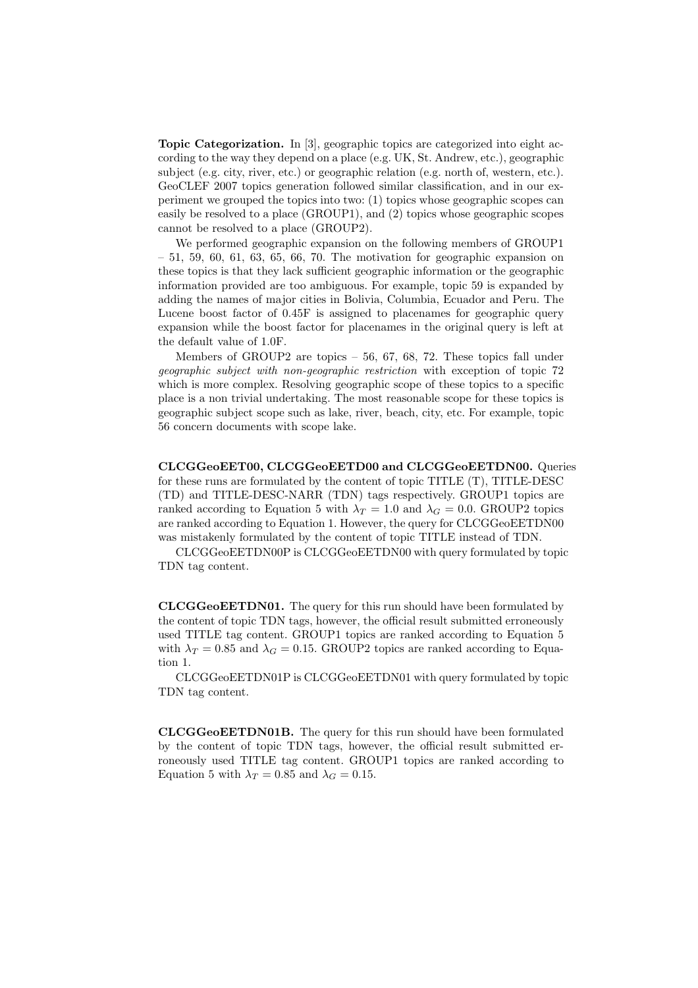Topic Categorization. In [3], geographic topics are categorized into eight according to the way they depend on a place (e.g. UK, St. Andrew, etc.), geographic subject (e.g. city, river, etc.) or geographic relation (e.g. north of, western, etc.). GeoCLEF 2007 topics generation followed similar classification, and in our experiment we grouped the topics into two: (1) topics whose geographic scopes can easily be resolved to a place (GROUP1), and (2) topics whose geographic scopes cannot be resolved to a place (GROUP2).

We performed geographic expansion on the following members of GROUP1  $-51, 59, 60, 61, 63, 65, 66, 70$ . The motivation for geographic expansion on these topics is that they lack sufficient geographic information or the geographic information provided are too ambiguous. For example, topic 59 is expanded by adding the names of major cities in Bolivia, Columbia, Ecuador and Peru. The Lucene boost factor of 0.45F is assigned to placenames for geographic query expansion while the boost factor for placenames in the original query is left at the default value of 1.0F.

Members of GROUP2 are topics – 56, 67, 68, 72. These topics fall under geographic subject with non-geographic restriction with exception of topic 72 which is more complex. Resolving geographic scope of these topics to a specific place is a non trivial undertaking. The most reasonable scope for these topics is geographic subject scope such as lake, river, beach, city, etc. For example, topic 56 concern documents with scope lake.

CLCGGeoEET00, CLCGGeoEETD00 and CLCGGeoEETDN00. Queries for these runs are formulated by the content of topic TITLE (T), TITLE-DESC (TD) and TITLE-DESC-NARR (TDN) tags respectively. GROUP1 topics are ranked according to Equation 5 with  $\lambda_T = 1.0$  and  $\lambda_G = 0.0$ . GROUP2 topics are ranked according to Equation 1. However, the query for CLCGGeoEETDN00 was mistakenly formulated by the content of topic TITLE instead of TDN.

CLCGGeoEETDN00P is CLCGGeoEETDN00 with query formulated by topic TDN tag content.

CLCGGeoEETDN01. The query for this run should have been formulated by the content of topic TDN tags, however, the official result submitted erroneously used TITLE tag content. GROUP1 topics are ranked according to Equation 5 with  $\lambda_T = 0.85$  and  $\lambda_G = 0.15$ . GROUP2 topics are ranked according to Equation 1.

CLCGGeoEETDN01P is CLCGGeoEETDN01 with query formulated by topic TDN tag content.

CLCGGeoEETDN01B. The query for this run should have been formulated by the content of topic TDN tags, however, the official result submitted erroneously used TITLE tag content. GROUP1 topics are ranked according to Equation 5 with  $\lambda_T = 0.85$  and  $\lambda_G = 0.15$ .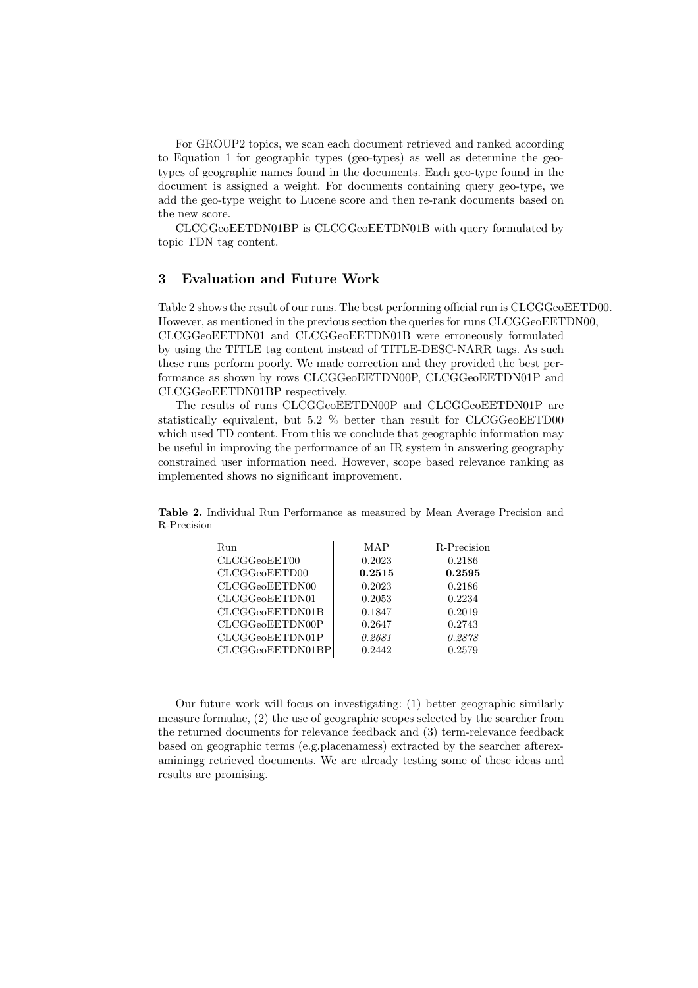For GROUP2 topics, we scan each document retrieved and ranked according to Equation 1 for geographic types (geo-types) as well as determine the geotypes of geographic names found in the documents. Each geo-type found in the document is assigned a weight. For documents containing query geo-type, we add the geo-type weight to Lucene score and then re-rank documents based on the new score.

CLCGGeoEETDN01BP is CLCGGeoEETDN01B with query formulated by topic TDN tag content.

## 3 Evaluation and Future Work

Table 2 shows the result of our runs. The best performing official run is CLCGGeoEETD00. However, as mentioned in the previous section the queries for runs CLCGGeoEETDN00, CLCGGeoEETDN01 and CLCGGeoEETDN01B were erroneously formulated by using the TITLE tag content instead of TITLE-DESC-NARR tags. As such these runs perform poorly. We made correction and they provided the best performance as shown by rows CLCGGeoEETDN00P, CLCGGeoEETDN01P and CLCGGeoEETDN01BP respectively.

The results of runs CLCGGeoEETDN00P and CLCGGeoEETDN01P are statistically equivalent, but 5.2 % better than result for CLCGGeoEETD00 which used TD content. From this we conclude that geographic information may be useful in improving the performance of an IR system in answering geography constrained user information need. However, scope based relevance ranking as implemented shows no significant improvement.

|             |  | <b>Table 2.</b> Individual Run Performance as measured by Mean Average Precision and |  |  |  |  |
|-------------|--|--------------------------------------------------------------------------------------|--|--|--|--|
| R-Precision |  |                                                                                      |  |  |  |  |

| Run              | MAP    | R-Precision |
|------------------|--------|-------------|
| CLCGGeoEET00     | 0.2023 | 0.2186      |
| CLCGGeoEETD00    | 0.2515 | 0.2595      |
| CLCGGeoEETDN00   | 0.2023 | 0.2186      |
| CLCGGeoEETDN01   | 0.2053 | 0.2234      |
| CLCGGeoEETDN01B  | 0.1847 | 0.2019      |
| CLCGGeoEETDN00P  | 0.2647 | 0.2743      |
| CLCGGeoEETDN01P  | 0.2681 | 0.2878      |
| CLCGGeoEETDN01BP | 0.2442 | 0.2579      |

Our future work will focus on investigating: (1) better geographic similarly measure formulae, (2) the use of geographic scopes selected by the searcher from the returned documents for relevance feedback and (3) term-relevance feedback based on geographic terms (e.g.placenamess) extracted by the searcher afterexaminingg retrieved documents. We are already testing some of these ideas and results are promising.